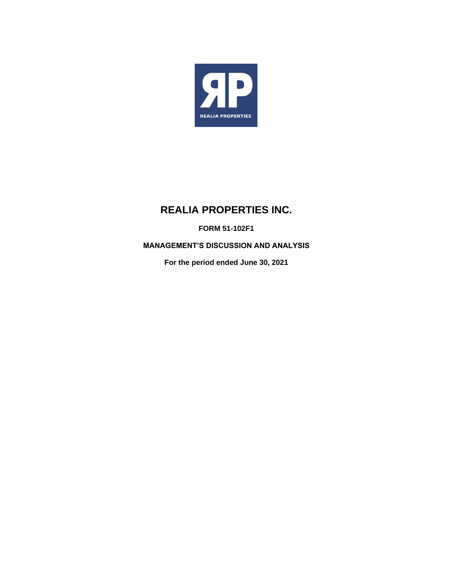

# **REALIA PROPERTIES INC.**

**FORM 51-102F1**

**MANAGEMENT'S DISCUSSION AND ANALYSIS**

**For the period ended June 30, 2021**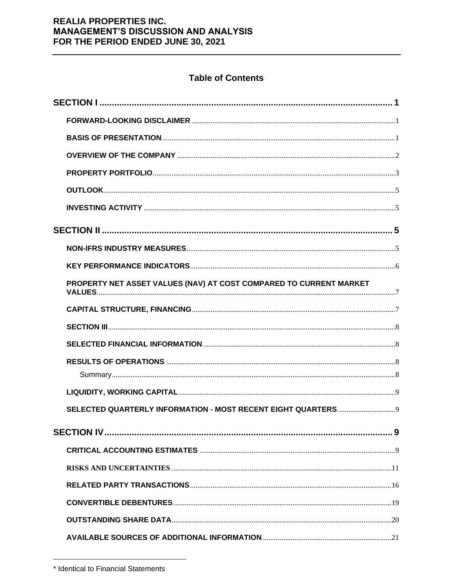# **Table of Contents**

| PROPERTY NET ASSET VALUES (NAV) AT COST COMPARED TO CURRENT MARKET |  |
|--------------------------------------------------------------------|--|
|                                                                    |  |
|                                                                    |  |
|                                                                    |  |
|                                                                    |  |
|                                                                    |  |
|                                                                    |  |
|                                                                    |  |
|                                                                    |  |
|                                                                    |  |
|                                                                    |  |
|                                                                    |  |
|                                                                    |  |
|                                                                    |  |
|                                                                    |  |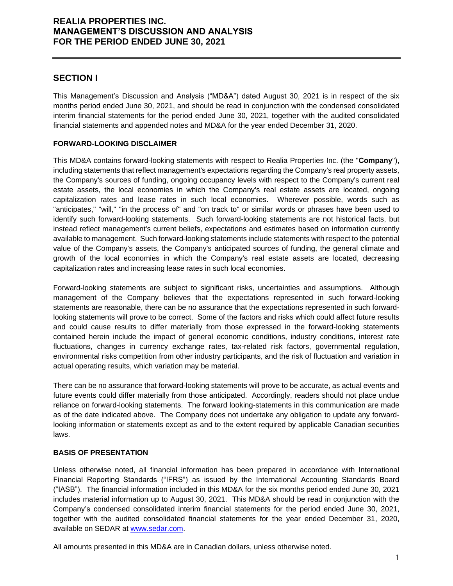# **SECTION I**

This Management's Discussion and Analysis ("MD&A") dated August 30, 2021 is in respect of the six months period ended June 30, 2021, and should be read in conjunction with the condensed consolidated interim financial statements for the period ended June 30, 2021, together with the audited consolidated financial statements and appended notes and MD&A for the year ended December 31, 2020.

### **FORWARD-LOOKING DISCLAIMER**

This MD&A contains forward-looking statements with respect to Realia Properties Inc. (the "**Company**"), including statements that reflect management's expectations regarding the Company's real property assets, the Company's sources of funding, ongoing occupancy levels with respect to the Company's current real estate assets, the local economies in which the Company's real estate assets are located, ongoing capitalization rates and lease rates in such local economies. Wherever possible, words such as "anticipates," "will," "in the process of" and "on track to" or similar words or phrases have been used to identify such forward-looking statements. Such forward-looking statements are not historical facts, but instead reflect management's current beliefs, expectations and estimates based on information currently available to management. Such forward-looking statements include statements with respect to the potential value of the Company's assets, the Company's anticipated sources of funding, the general climate and growth of the local economies in which the Company's real estate assets are located, decreasing capitalization rates and increasing lease rates in such local economies.

Forward-looking statements are subject to significant risks, uncertainties and assumptions. Although management of the Company believes that the expectations represented in such forward-looking statements are reasonable, there can be no assurance that the expectations represented in such forwardlooking statements will prove to be correct. Some of the factors and risks which could affect future results and could cause results to differ materially from those expressed in the forward-looking statements contained herein include the impact of general economic conditions, industry conditions, interest rate fluctuations, changes in currency exchange rates, tax-related risk factors, governmental regulation, environmental risks competition from other industry participants, and the risk of fluctuation and variation in actual operating results, which variation may be material.

There can be no assurance that forward-looking statements will prove to be accurate, as actual events and future events could differ materially from those anticipated. Accordingly, readers should not place undue reliance on forward-looking statements. The forward looking-statements in this communication are made as of the date indicated above. The Company does not undertake any obligation to update any forwardlooking information or statements except as and to the extent required by applicable Canadian securities laws.

### **BASIS OF PRESENTATION**

Unless otherwise noted, all financial information has been prepared in accordance with International Financial Reporting Standards ("IFRS") as issued by the International Accounting Standards Board ("IASB"). The financial information included in this MD&A for the six months period ended June 30, 2021 includes material information up to August 30, 2021. This MD&A should be read in conjunction with the Company's condensed consolidated interim financial statements for the period ended June 30, 2021, together with the audited consolidated financial statements for the year ended December 31, 2020, available on SEDAR at [www.sedar.com.](http://www.sedar.com/)

All amounts presented in this MD&A are in Canadian dollars, unless otherwise noted.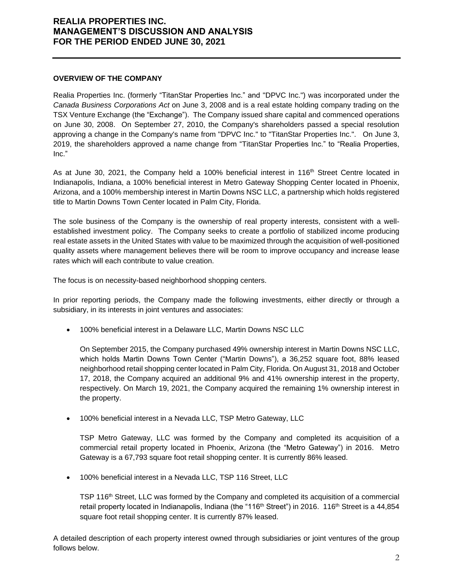#### **OVERVIEW OF THE COMPANY**

Realia Properties Inc. (formerly "TitanStar Properties Inc." and "DPVC Inc.") was incorporated under the *Canada Business Corporations Act* on June 3, 2008 and is a real estate holding company trading on the TSX Venture Exchange (the "Exchange"). The Company issued share capital and commenced operations on June 30, 2008. On September 27, 2010, the Company's shareholders passed a special resolution approving a change in the Company's name from "DPVC Inc." to "TitanStar Properties Inc.". On June 3, 2019, the shareholders approved a name change from "TitanStar Properties Inc." to "Realia Properties, Inc."

As at June 30, 2021, the Company held a 100% beneficial interest in 116<sup>th</sup> Street Centre located in Indianapolis, Indiana, a 100% beneficial interest in Metro Gateway Shopping Center located in Phoenix, Arizona, and a 100% membership interest in Martin Downs NSC LLC, a partnership which holds registered title to Martin Downs Town Center located in Palm City, Florida.

The sole business of the Company is the ownership of real property interests, consistent with a wellestablished investment policy. The Company seeks to create a portfolio of stabilized income producing real estate assets in the United States with value to be maximized through the acquisition of well-positioned quality assets where management believes there will be room to improve occupancy and increase lease rates which will each contribute to value creation.

The focus is on necessity-based neighborhood shopping centers.

In prior reporting periods, the Company made the following investments, either directly or through a subsidiary, in its interests in joint ventures and associates:

• 100% beneficial interest in a Delaware LLC, Martin Downs NSC LLC

On September 2015, the Company purchased 49% ownership interest in Martin Downs NSC LLC, which holds Martin Downs Town Center ("Martin Downs"), a 36,252 square foot, 88% leased neighborhood retail shopping center located in Palm City, Florida. On August 31, 2018 and October 17, 2018, the Company acquired an additional 9% and 41% ownership interest in the property, respectively. On March 19, 2021, the Company acquired the remaining 1% ownership interest in the property.

• 100% beneficial interest in a Nevada LLC, TSP Metro Gateway, LLC

TSP Metro Gateway, LLC was formed by the Company and completed its acquisition of a commercial retail property located in Phoenix, Arizona (the "Metro Gateway") in 2016. Metro Gateway is a 67,793 square foot retail shopping center. It is currently 86% leased.

• 100% beneficial interest in a Nevada LLC, TSP 116 Street, LLC

TSP 116<sup>th</sup> Street, LLC was formed by the Company and completed its acquisition of a commercial retail property located in Indianapolis, Indiana (the "116<sup>th</sup> Street") in 2016. 116<sup>th</sup> Street is a 44,854 square foot retail shopping center. It is currently 87% leased.

A detailed description of each property interest owned through subsidiaries or joint ventures of the group follows below.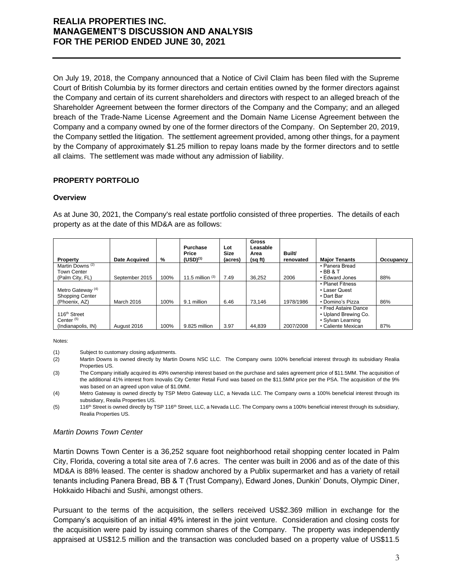On July 19, 2018, the Company announced that a Notice of Civil Claim has been filed with the Supreme Court of British Columbia by its former directors and certain entities owned by the former directors against the Company and certain of its current shareholders and directors with respect to an alleged breach of the Shareholder Agreement between the former directors of the Company and the Company; and an alleged breach of the Trade-Name License Agreement and the Domain Name License Agreement between the Company and a company owned by one of the former directors of the Company. On September 20, 2019, the Company settled the litigation. The settlement agreement provided, among other things, for a payment by the Company of approximately \$1.25 million to repay loans made by the former directors and to settle all claims. The settlement was made without any admission of liability.

### **PROPERTY PORTFOLIO**

### **Overview**

As at June 30, 2021, the Company's real estate portfolio consisted of three properties. The details of each property as at the date of this MD&A are as follows:

| Property                     | <b>Date Acquired</b> | %    | Purchase<br>Price<br>$(USD)^{(1)}$ | Lot<br>Size<br>(acres) | <b>Gross</b><br>Leasable<br>Area<br>(sq ft) | Built/<br>renovated | <b>Major Tenants</b> | Occupancy |
|------------------------------|----------------------|------|------------------------------------|------------------------|---------------------------------------------|---------------------|----------------------|-----------|
| Martin Downs <sup>(2)</sup>  |                      |      |                                    |                        |                                             |                     | • Panera Bread       |           |
| <b>Town Center</b>           |                      |      |                                    |                        |                                             |                     | $\cdot$ BB & T       |           |
| (Palm City, FL)              | September 2015       | 100% | 11.5 million $(3)$                 | 7.49                   | 36.252                                      | 2006                | • Edward Jones       | 88%       |
|                              |                      |      |                                    |                        |                                             |                     | • Planet Fitness     |           |
| Metro Gateway <sup>(4)</sup> |                      |      |                                    |                        |                                             |                     | • Laser Quest        |           |
| <b>Shopping Center</b>       |                      |      |                                    |                        |                                             |                     | • Dart Bar           |           |
| (Phoenix, AZ)                | March 2016           | 100% | 9.1 million                        | 6.46                   | 73.146                                      | 1978/1986           | • Domino's Pizza     | 86%       |
|                              |                      |      |                                    |                        |                                             |                     | • Fred Astaire Dance |           |
| 116 <sup>th</sup> Street     |                      |      |                                    |                        |                                             |                     | • Upland Brewing Co. |           |
| Center <sup>(5)</sup>        |                      |      |                                    |                        |                                             |                     | • Sylvan Learning    |           |
| (Indianapolis, IN)           | August 2016          | 100% | 9.825 million                      | 3.97                   | 44.839                                      | 2007/2008           | • Caliente Mexican   | 87%       |

Notes:

(1) Subject to customary closing adjustments.

- (2) Martin Downs is owned directly by Martin Downs NSC LLC. The Company owns 100% beneficial interest through its subsidiary Realia Properties US.
- (3) The Company initially acquired its 49% ownership interest based on the purchase and sales agreement price of \$11.5MM. The acquisition of the additional 41% interest from Inovalis City Center Retail Fund was based on the \$11.5MM price per the PSA. The acquisition of the 9% was based on an agreed upon value of \$1.0MM.

(4) Metro Gateway is owned directly by TSP Metro Gateway LLC, a Nevada LLC. The Company owns a 100% beneficial interest through its subsidiary, Realia Properties US.

(5) 116<sup>th</sup> Street is owned directly by TSP 116<sup>th</sup> Street, LLC, a Nevada LLC. The Company owns a 100% beneficial interest through its subsidiary, Realia Properties US.

### *Martin Downs Town Center*

Martin Downs Town Center is a 36,252 square foot neighborhood retail shopping center located in Palm City, Florida, covering a total site area of 7.6 acres. The center was built in 2006 and as of the date of this MD&A is 88% leased. The center is shadow anchored by a Publix supermarket and has a variety of retail tenants including Panera Bread, BB & T (Trust Company), Edward Jones, Dunkin' Donuts, Olympic Diner, Hokkaido Hibachi and Sushi, amongst others.

Pursuant to the terms of the acquisition, the sellers received US\$2.369 million in exchange for the Company's acquisition of an initial 49% interest in the joint venture. Consideration and closing costs for the acquisition were paid by issuing common shares of the Company. The property was independently appraised at US\$12.5 million and the transaction was concluded based on a property value of US\$11.5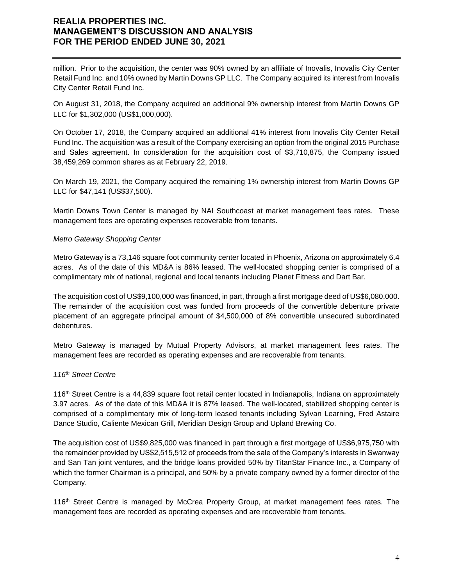million. Prior to the acquisition, the center was 90% owned by an affiliate of Inovalis, Inovalis City Center Retail Fund Inc. and 10% owned by Martin Downs GP LLC. The Company acquired its interest from Inovalis City Center Retail Fund Inc.

On August 31, 2018, the Company acquired an additional 9% ownership interest from Martin Downs GP LLC for \$1,302,000 (US\$1,000,000).

On October 17, 2018, the Company acquired an additional 41% interest from Inovalis City Center Retail Fund Inc. The acquisition was a result of the Company exercising an option from the original 2015 Purchase and Sales agreement. In consideration for the acquisition cost of \$3,710,875, the Company issued 38,459,269 common shares as at February 22, 2019.

On March 19, 2021, the Company acquired the remaining 1% ownership interest from Martin Downs GP LLC for \$47,141 (US\$37,500).

Martin Downs Town Center is managed by NAI Southcoast at market management fees rates. These management fees are operating expenses recoverable from tenants.

### *Metro Gateway Shopping Center*

Metro Gateway is a 73,146 square foot community center located in Phoenix, Arizona on approximately 6.4 acres. As of the date of this MD&A is 86% leased. The well-located shopping center is comprised of a complimentary mix of national, regional and local tenants including Planet Fitness and Dart Bar.

The acquisition cost of US\$9,100,000 was financed, in part, through a first mortgage deed of US\$6,080,000. The remainder of the acquisition cost was funded from proceeds of the convertible debenture private placement of an aggregate principal amount of \$4,500,000 of 8% convertible unsecured subordinated debentures.

Metro Gateway is managed by Mutual Property Advisors, at market management fees rates. The management fees are recorded as operating expenses and are recoverable from tenants.

#### *116th Street Centre*

116th Street Centre is a 44,839 square foot retail center located in Indianapolis, Indiana on approximately 3.97 acres. As of the date of this MD&A it is 87% leased. The well-located, stabilized shopping center is comprised of a complimentary mix of long-term leased tenants including Sylvan Learning, Fred Astaire Dance Studio, Caliente Mexican Grill, Meridian Design Group and Upland Brewing Co.

The acquisition cost of US\$9,825,000 was financed in part through a first mortgage of US\$6,975,750 with the remainder provided by US\$2,515,512 of proceeds from the sale of the Company's interests in Swanway and San Tan joint ventures, and the bridge loans provided 50% by TitanStar Finance Inc., a Company of which the former Chairman is a principal, and 50% by a private company owned by a former director of the Company.

116<sup>th</sup> Street Centre is managed by McCrea Property Group, at market management fees rates. The management fees are recorded as operating expenses and are recoverable from tenants.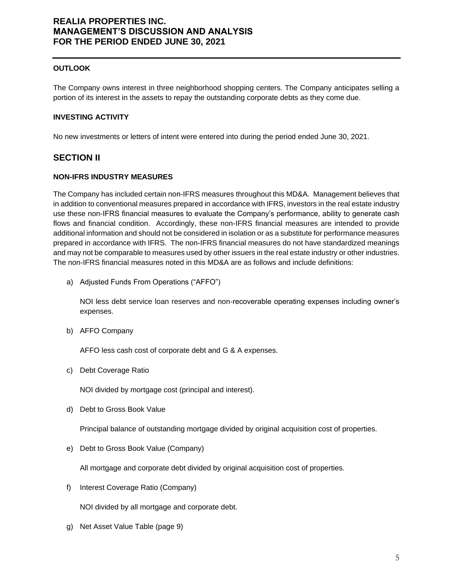### **OUTLOOK**

The Company owns interest in three neighborhood shopping centers. The Company anticipates selling a portion of its interest in the assets to repay the outstanding corporate debts as they come due.

#### **INVESTING ACTIVITY**

No new investments or letters of intent were entered into during the period ended June 30, 2021.

### **SECTION II**

#### **NON-IFRS INDUSTRY MEASURES**

The Company has included certain non-IFRS measures throughout this MD&A. Management believes that in addition to conventional measures prepared in accordance with IFRS, investors in the real estate industry use these non-IFRS financial measures to evaluate the Company's performance, ability to generate cash flows and financial condition. Accordingly, these non-IFRS financial measures are intended to provide additional information and should not be considered in isolation or as a substitute for performance measures prepared in accordance with IFRS. The non-IFRS financial measures do not have standardized meanings and may not be comparable to measures used by other issuers in the real estate industry or other industries. The non-IFRS financial measures noted in this MD&A are as follows and include definitions:

a) Adjusted Funds From Operations ("AFFO")

NOI less debt service loan reserves and non-recoverable operating expenses including owner's expenses.

b) AFFO Company

AFFO less cash cost of corporate debt and G & A expenses.

c) Debt Coverage Ratio

NOI divided by mortgage cost (principal and interest).

d) Debt to Gross Book Value

Principal balance of outstanding mortgage divided by original acquisition cost of properties.

e) Debt to Gross Book Value (Company)

All mortgage and corporate debt divided by original acquisition cost of properties.

f) Interest Coverage Ratio (Company)

NOI divided by all mortgage and corporate debt.

g) Net Asset Value Table (page 9)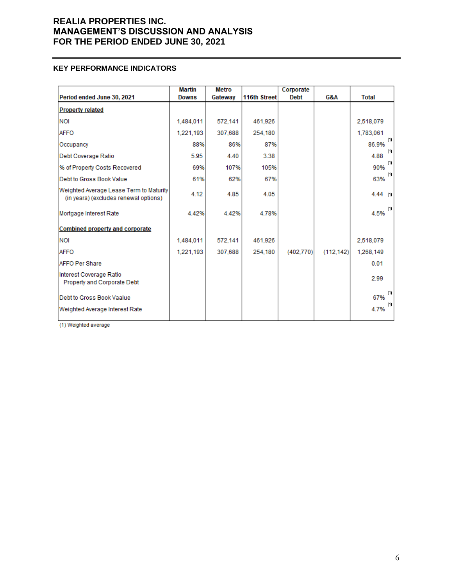### **KEY PERFORMANCE INDICATORS**

|                                                                                  | <b>Martin</b> | <b>Metro</b> |              | Corporate   |           |              |
|----------------------------------------------------------------------------------|---------------|--------------|--------------|-------------|-----------|--------------|
| Period ended June 30, 2021                                                       | <b>Downs</b>  | Gateway      | 116th Street | <b>Debt</b> | G&A       | <b>Total</b> |
| <b>Property related</b>                                                          |               |              |              |             |           |              |
| <b>NOI</b>                                                                       | 1,484,011     | 572.141      | 461,926      |             |           | 2,518,079    |
| <b>AFFO</b>                                                                      | 1,221,193     | 307.688      | 254.180      |             |           | 1,783,061    |
| Occupancy                                                                        | 88%           | 86%          | 87%          |             |           | (0)<br>86.9% |
| Debt Coverage Ratio                                                              | 5.95          | 4.40         | 3.38         |             |           | (1)<br>4.88  |
| % of Property Costs Recovered                                                    | 69%           | 107%         | 105%         |             |           | (1)<br>90%   |
| Debt to Gross Book Value                                                         | 61%           | 62%          | 67%          |             |           | (1)<br>63%   |
| Weighted Average Lease Term to Maturity<br>(in years) (excludes renewal options) | 4.12          | 4.85         | 4.05         |             |           | $4.44$ (1)   |
| Mortgage Interest Rate                                                           | 4.42%         | 4.42%        | 4.78%        |             |           | (1)<br>4.5%  |
| <b>Combined property and corporate</b>                                           |               |              |              |             |           |              |
| <b>NOI</b>                                                                       | 1.484.011     | 572.141      | 461.926      |             |           | 2,518,079    |
| <b>AFFO</b>                                                                      | 1,221,193     | 307,688      | 254,180      | (402, 770)  | (112.142) | 1,268,149    |
| AFFO Per Share                                                                   |               |              |              |             |           | 0.01         |
| Interest Coverage Ratio<br>Property and Corporate Debt                           |               |              |              |             |           | 2.99         |
| Debt to Gross Book Vaalue                                                        |               |              |              |             |           | (1)<br>67%   |
| Weighted Average Interest Rate                                                   |               |              |              |             |           | (1)<br>4.7%  |

(1) Weighted average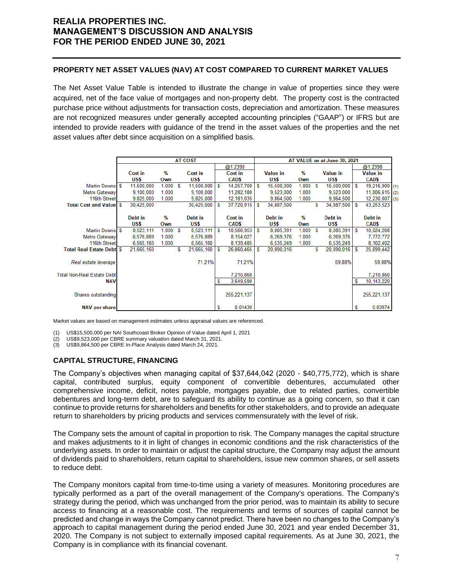### **PROPERTY NET ASSET VALUES (NAV) AT COST COMPARED TO CURRENT MARKET VALUES**

The Net Asset Value Table is intended to illustrate the change in value of properties since they were acquired, net of the face value of mortgages and non-property debt. The property cost is the contracted purchase price without adjustments for transaction costs, depreciation and amortization. These measures are not recognized measures under generally accepted accounting principles ("GAAP") or IFRS but are intended to provide readers with guidance of the trend in the asset values of the properties and the net asset values after debt since acquisition on a simplified basis.

|                                   | <b>AT COST</b> |            |       |   |            | AT VALUE as at June 30, 2021 |               |   |                 |       |   |                 |     |                   |
|-----------------------------------|----------------|------------|-------|---|------------|------------------------------|---------------|---|-----------------|-------|---|-----------------|-----|-------------------|
|                                   |                |            |       |   |            |                              | @1.2398       |   |                 |       |   |                 |     | @1.2398           |
|                                   |                | Cost in    | $\%$  |   | Cost in    |                              | Cost in       |   | <b>Value in</b> | %     |   | <b>Value in</b> |     | <b>Value in</b>   |
|                                   |                | US\$       | Own   |   | US\$       |                              | CAD\$         |   | US\$            | Own   |   | US\$            |     | CAD\$             |
| Martin Downs \$                   |                | 11,500,000 | 1.000 | S | 11,500,000 | -S                           | 14,257,700    | S | 15,500,000      | 1.000 | S | 15,500,000      | ∣\$ | 19,216,900 (1)    |
| Metro Gateway                     |                | 9.100.000  | 1.000 |   | 9,100,000  |                              | 11,282,180    |   | 9.523.000       | 1.000 |   | 9,523,000       |     | $11,806,615$ (2)  |
| 116th Street                      |                | 9,825,000  | 1.000 |   | 9,825,000  |                              | 12, 181, 035  |   | 9,864,500       | 1.000 |   | 9,864,500       |     | 12,230,007<br>(3) |
| <b>Total Cost and Value \$</b>    |                | 30,425,000 |       |   | 30,425,000 | S                            | 37,720,915    | S | 34,887,500      |       | S | 34,887,500      | S   | 43,253,523        |
|                                   |                |            |       |   |            |                              |               |   |                 |       |   |                 |     |                   |
|                                   |                | Debt in    | %     |   | Debt in    |                              | Cost in       |   | Debt in         | %     |   | Debt in         |     | Debt in           |
|                                   |                | US\$       | Own   |   | US\$       |                              | CAD\$         |   | US\$            | Own   |   | US\$            |     | CAD\$             |
| Martin Downs \$                   |                | 8,523,111  | 1.000 | S | 8,523,111  | S                            | 10,566,953    | S | 8,085,391       | 1.000 | S | 8,085,391       | S   | 10,024,268        |
| Metro Gateway                     |                | 6.576.889  | 1.000 |   | 6,576,889  |                              | 8,154,027     |   | 6.269.376       | 1.000 |   | 6,269,376       |     | 7,772,772         |
| 116th Street                      |                | 6,565,160  | 1.000 |   | 6,565,160  |                              | 8,139,485     |   | 6,535,249       | 1.000 |   | 6,535,249       |     | 8,102,402         |
| <b>Total Real Estate Debte \$</b> |                | 21,665,160 |       | S | 21,665,160 | S                            | 26,860,465    | S | 20,890,016      |       | S | 20,890,016      | S   | 25,899,442        |
|                                   |                |            |       |   |            |                              |               |   |                 |       |   |                 |     |                   |
| Real estate leverage              |                |            |       |   | 71.21%     |                              | 71.21%        |   |                 |       |   | 59.88%          |     | 59.88%            |
|                                   |                |            |       |   |            |                              |               |   |                 |       |   |                 |     |                   |
| <b>Total Non-Real Estate Debt</b> |                |            |       |   |            |                              | 7,210,860     |   |                 |       |   |                 |     | 7,210,860         |
| <b>NAV</b>                        |                |            |       |   |            | s                            | 3,649,590     |   |                 |       |   |                 | S   | 10, 143, 220      |
|                                   |                |            |       |   |            |                              |               |   |                 |       |   |                 |     |                   |
| Shares outstanding                |                |            |       |   |            |                              | 255, 221, 137 |   |                 |       |   |                 |     | 255, 221, 137     |
|                                   |                |            |       |   |            |                              |               |   |                 |       |   |                 |     |                   |
| <b>NAV per share</b>              |                |            |       |   |            | S                            | 0.01430       |   |                 |       |   |                 | S   | 0.03974           |

Market values are based on management estimates unless appraisal values are referenced.

(1) US\$15,500,000 per NAI Southcoast Broker Opinion of Value dated April 1, 2021

(2) US\$9,523,000 per CBRE summary valuation dated March 31, 2021.

(3) US\$9,864,500 per CBRE In-Place Analysis dated March 24, 2021.

### **CAPITAL STRUCTURE, FINANCING**

The Company's objectives when managing capital of \$37,644,042 (2020 - \$40,775,772), which is share capital, contributed surplus, equity component of convertible debentures, accumulated other comprehensive income, deficit, notes payable, mortgages payable, due to related parties, convertible debentures and long-term debt, are to safeguard its ability to continue as a going concern, so that it can continue to provide returns for shareholders and benefits for other stakeholders, and to provide an adequate return to shareholders by pricing products and services commensurately with the level of risk.

The Company sets the amount of capital in proportion to risk. The Company manages the capital structure and makes adjustments to it in light of changes in economic conditions and the risk characteristics of the underlying assets. In order to maintain or adjust the capital structure, the Company may adjust the amount of dividends paid to shareholders, return capital to shareholders, issue new common shares, or sell assets to reduce debt.

The Company monitors capital from time-to-time using a variety of measures. Monitoring procedures are typically performed as a part of the overall management of the Company's operations. The Company's strategy during the period, which was unchanged from the prior period, was to maintain its ability to secure access to financing at a reasonable cost. The requirements and terms of sources of capital cannot be predicted and change in ways the Company cannot predict. There have been no changes to the Company's approach to capital management during the period ended June 30, 2021 and year ended December 31, 2020. The Company is not subject to externally imposed capital requirements. As at June 30, 2021, the Company is in compliance with its financial covenant.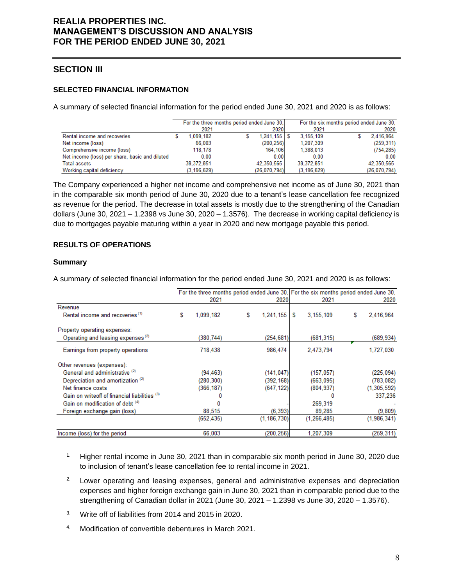# **SECTION III**

### **SELECTED FINANCIAL INFORMATION**

A summary of selected financial information for the period ended June 30, 2021 and 2020 is as follows:

|                                                |               | For the three months period ended June 30, |               | For the six months period ended June 30, |              |
|------------------------------------------------|---------------|--------------------------------------------|---------------|------------------------------------------|--------------|
|                                                | 2021          | 2020                                       | 2021          |                                          | 2020         |
| Rental income and recoveries                   | 1.099.182     | $1,241,155$ $\sqrt{5}$                     | 3.155.109     |                                          | 2.416.964    |
| Net income (loss)                              | 66.003        | (200, 256)                                 | 1,207,309     |                                          | (259, 311)   |
| Comprehensive income (loss)                    | 118,178       | 164,106                                    | 1,388,013     |                                          | (754, 285)   |
| Net income (loss) per share, basic and diluted | 0.00          | 0.00                                       | 0.00          |                                          | 0.00         |
| <b>Total assets</b>                            | 38.372.851    | 42,350,565                                 | 38,372,851    |                                          | 42.350.565   |
| Working capital deficiency                     | (3, 196, 629) | (26,070,794)                               | (3, 196, 629) |                                          | (26,070,794) |

The Company experienced a higher net income and comprehensive net income as of June 30, 2021 than in the comparable six month period of June 30, 2020 due to a tenant's lease cancellation fee recognized as revenue for the period. The decrease in total assets is mostly due to the strengthening of the Canadian dollars (June 30, 2021 – 1.2398 vs June 30, 2020 – 1.3576). The decrease in working capital deficiency is due to mortgages payable maturing within a year in 2020 and new mortgage payable this period.

### **RESULTS OF OPERATIONS**

#### **Summary**

|                                               |   |            |   |               |                | For the three months period ended June 30, For the six months period ended June 30, |
|-----------------------------------------------|---|------------|---|---------------|----------------|-------------------------------------------------------------------------------------|
|                                               |   | 2021       |   | 2020          | 2021           | 2020                                                                                |
| Revenue                                       |   |            |   |               |                |                                                                                     |
| Rental income and recoveries <sup>(1)</sup>   | S | 1.099.182  | S | 1,241,155     | 3,155,109<br>S | 2,416,964<br>S                                                                      |
| Property operating expenses:                  |   |            |   |               |                |                                                                                     |
| Operating and leasing expenses <sup>(2)</sup> |   | (380,744)  |   | (254,681)     | (681, 315)     | (689, 934)                                                                          |
| Earnings from property operations             |   | 718,438    |   | 986,474       | 2,473,794      | 1,727,030                                                                           |
| Other revenues (expenses):                    |   |            |   |               |                |                                                                                     |
| General and administrative <sup>(2)</sup>     |   | (94, 463)  |   | (141, 047)    | (157, 057)     | (225, 094)                                                                          |
| Depreciation and amortization <sup>(2)</sup>  |   | (280, 300) |   | (392, 168)    | (663,095)      | (783,082)                                                                           |
| Net finance costs                             |   | (366,187)  |   | (647, 122)    | (804, 937)     | (1, 305, 592)                                                                       |
| Gain on writeoff of financial liabilities (3) |   |            |   |               |                | 337,236                                                                             |
| Gain on modification of debt (4)              |   |            |   |               | 269,319        |                                                                                     |
| Foreign exchange gain (loss)                  |   | 88,515     |   | (6.393)       | 89,285         | (9,809)                                                                             |
|                                               |   | (652, 435) |   | (1, 186, 730) | (1, 266, 485)  | (1,986,341)                                                                         |
| Income (loss) for the period                  |   | 66,003     |   | (200.256)     | 1,207,309      | (259, 311)                                                                          |

A summary of selected financial information for the period ended June 30, 2021 and 2020 is as follows:

- <sup>1.</sup> Higher rental income in June 30, 2021 than in comparable six month period in June 30, 2020 due to inclusion of tenant's lease cancellation fee to rental income in 2021.
- <sup>2.</sup> Lower operating and leasing expenses, general and administrative expenses and depreciation expenses and higher foreign exchange gain in June 30, 2021 than in comparable period due to the strengthening of Canadian dollar in 2021 (June 30, 2021 – 1.2398 vs June 30, 2020 – 1.3576).
- 3. Write off of liabilities from 2014 and 2015 in 2020.
- 4. Modification of convertible debentures in March 2021.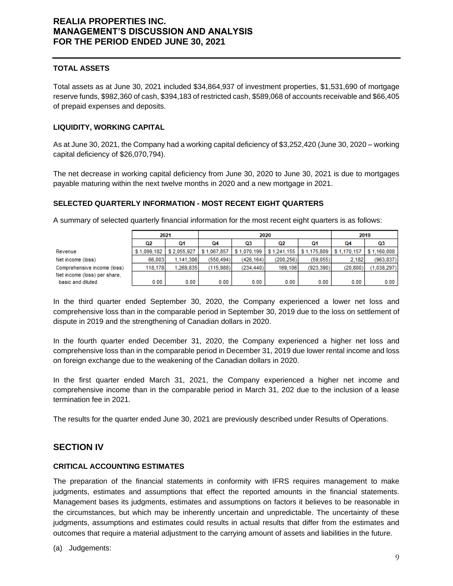### **TOTAL ASSETS**

Total assets as at June 30, 2021 included \$34,864,937 of investment properties, \$1,531,690 of mortgage reserve funds, \$982,360 of cash, \$394,183 of restricted cash, \$589,068 of accounts receivable and \$66,405 of prepaid expenses and deposits.

### **LIQUIDITY, WORKING CAPITAL**

As at June 30, 2021, the Company had a working capital deficiency of \$3,252,420 (June 30, 2020 – working capital deficiency of \$26,070,794).

The net decrease in working capital deficiency from June 30, 2020 to June 30, 2021 is due to mortgages payable maturing within the next twelve months in 2020 and a new mortgage in 2021.

### **SELECTED QUARTERLY INFORMATION - MOST RECENT EIGHT QUARTERS**

A summary of selected quarterly financial information for the most recent eight quarters is as follows:

|                              | 2021        |             |             | 2020        |                           | 2019      |             |             |
|------------------------------|-------------|-------------|-------------|-------------|---------------------------|-----------|-------------|-------------|
|                              | Ω2          | О1          | Ω4          | Q3          | ω2                        | О1        | 04          | Q3          |
| Revenue                      | \$1,099,182 | \$2,055,927 | \$1,067,857 | \$1,070,199 | \$1,241,155   \$1,175,809 |           | \$1,170,157 | \$1,160,008 |
| Net income (loss)            | 66,003      | 1.141.306   | (550.494)   | (426.164)   | (200.256)                 | (59.055)  | 2.182       | (963, 837)  |
| Comprehensive income (loss)  | 118,178     | 1.269.835   | (115.988)   | (234.440)   | 169,106                   | (923.390) | (20.800)    | (1,038,297) |
| Net income (loss) per share. |             |             |             |             |                           |           |             |             |
| basic and diluted            | 0.00        | 0.00        | 0.00        | 0.00        | 0.00                      | 0.00      | 0.00        | 0.00        |

In the third quarter ended September 30, 2020, the Company experienced a lower net loss and comprehensive loss than in the comparable period in September 30, 2019 due to the loss on settlement of dispute in 2019 and the strengthening of Canadian dollars in 2020.

In the fourth quarter ended December 31, 2020, the Company experienced a higher net loss and comprehensive loss than in the comparable period in December 31, 2019 due lower rental income and loss on foreign exchange due to the weakening of the Canadian dollars in 2020.

In the first quarter ended March 31, 2021, the Company experienced a higher net income and comprehensive income than in the comparable period in March 31, 202 due to the inclusion of a lease termination fee in 2021.

The results for the quarter ended June 30, 2021 are previously described under Results of Operations.

# **SECTION IV**

### **CRITICAL ACCOUNTING ESTIMATES**

The preparation of the financial statements in conformity with IFRS requires management to make judgments, estimates and assumptions that effect the reported amounts in the financial statements. Management bases its judgments, estimates and assumptions on factors it believes to be reasonable in the circumstances, but which may be inherently uncertain and unpredictable. The uncertainty of these judgments, assumptions and estimates could results in actual results that differ from the estimates and outcomes that require a material adjustment to the carrying amount of assets and liabilities in the future.

(a) Judgements: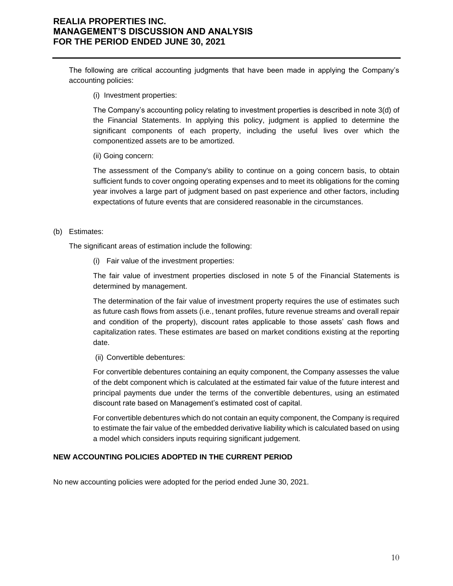The following are critical accounting judgments that have been made in applying the Company's accounting policies:

(i) Investment properties:

The Company's accounting policy relating to investment properties is described in note 3(d) of the Financial Statements. In applying this policy, judgment is applied to determine the significant components of each property, including the useful lives over which the componentized assets are to be amortized.

(ii) Going concern:

The assessment of the Company's ability to continue on a going concern basis, to obtain sufficient funds to cover ongoing operating expenses and to meet its obligations for the coming year involves a large part of judgment based on past experience and other factors, including expectations of future events that are considered reasonable in the circumstances.

#### (b) Estimates:

The significant areas of estimation include the following:

(i) Fair value of the investment properties:

The fair value of investment properties disclosed in note 5 of the Financial Statements is determined by management.

The determination of the fair value of investment property requires the use of estimates such as future cash flows from assets (i.e., tenant profiles, future revenue streams and overall repair and condition of the property), discount rates applicable to those assets' cash flows and capitalization rates. These estimates are based on market conditions existing at the reporting date.

(ii) Convertible debentures:

For convertible debentures containing an equity component, the Company assesses the value of the debt component which is calculated at the estimated fair value of the future interest and principal payments due under the terms of the convertible debentures, using an estimated discount rate based on Management's estimated cost of capital.

For convertible debentures which do not contain an equity component, the Company is required to estimate the fair value of the embedded derivative liability which is calculated based on using a model which considers inputs requiring significant judgement.

### **NEW ACCOUNTING POLICIES ADOPTED IN THE CURRENT PERIOD**

No new accounting policies were adopted for the period ended June 30, 2021.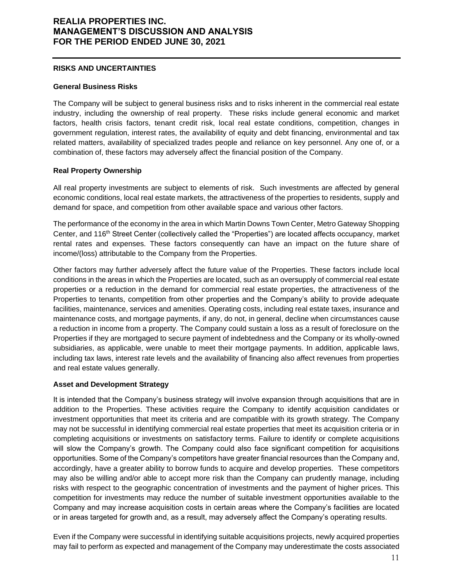#### **RISKS AND UNCERTAINTIES**

#### **General Business Risks**

The Company will be subject to general business risks and to risks inherent in the commercial real estate industry, including the ownership of real property. These risks include general economic and market factors, health crisis factors, tenant credit risk, local real estate conditions, competition, changes in government regulation, interest rates, the availability of equity and debt financing, environmental and tax related matters, availability of specialized trades people and reliance on key personnel. Any one of, or a combination of, these factors may adversely affect the financial position of the Company.

### **Real Property Ownership**

All real property investments are subject to elements of risk. Such investments are affected by general economic conditions, local real estate markets, the attractiveness of the properties to residents, supply and demand for space, and competition from other available space and various other factors.

The performance of the economy in the area in which Martin Downs Town Center, Metro Gateway Shopping Center, and 116th Street Center (collectively called the "Properties") are located affects occupancy, market rental rates and expenses. These factors consequently can have an impact on the future share of income/(loss) attributable to the Company from the Properties.

Other factors may further adversely affect the future value of the Properties. These factors include local conditions in the areas in which the Properties are located, such as an oversupply of commercial real estate properties or a reduction in the demand for commercial real estate properties, the attractiveness of the Properties to tenants, competition from other properties and the Company's ability to provide adequate facilities, maintenance, services and amenities. Operating costs, including real estate taxes, insurance and maintenance costs, and mortgage payments, if any, do not, in general, decline when circumstances cause a reduction in income from a property. The Company could sustain a loss as a result of foreclosure on the Properties if they are mortgaged to secure payment of indebtedness and the Company or its wholly-owned subsidiaries, as applicable, were unable to meet their mortgage payments. In addition, applicable laws, including tax laws, interest rate levels and the availability of financing also affect revenues from properties and real estate values generally.

### **Asset and Development Strategy**

It is intended that the Company's business strategy will involve expansion through acquisitions that are in addition to the Properties. These activities require the Company to identify acquisition candidates or investment opportunities that meet its criteria and are compatible with its growth strategy. The Company may not be successful in identifying commercial real estate properties that meet its acquisition criteria or in completing acquisitions or investments on satisfactory terms. Failure to identify or complete acquisitions will slow the Company's growth. The Company could also face significant competition for acquisitions opportunities. Some of the Company's competitors have greater financial resources than the Company and, accordingly, have a greater ability to borrow funds to acquire and develop properties. These competitors may also be willing and/or able to accept more risk than the Company can prudently manage, including risks with respect to the geographic concentration of investments and the payment of higher prices. This competition for investments may reduce the number of suitable investment opportunities available to the Company and may increase acquisition costs in certain areas where the Company's facilities are located or in areas targeted for growth and, as a result, may adversely affect the Company's operating results.

Even if the Company were successful in identifying suitable acquisitions projects, newly acquired properties may fail to perform as expected and management of the Company may underestimate the costs associated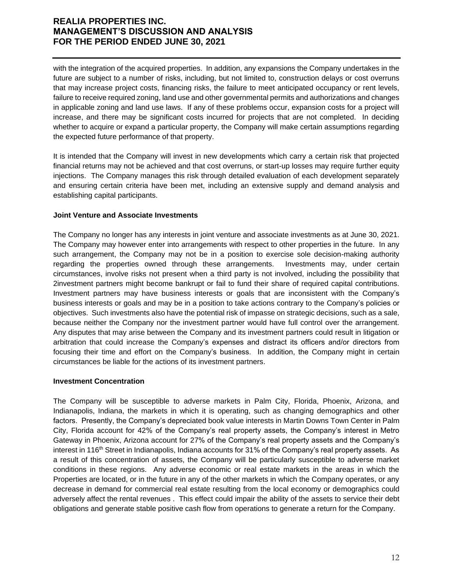with the integration of the acquired properties. In addition, any expansions the Company undertakes in the future are subject to a number of risks, including, but not limited to, construction delays or cost overruns that may increase project costs, financing risks, the failure to meet anticipated occupancy or rent levels, failure to receive required zoning, land use and other governmental permits and authorizations and changes in applicable zoning and land use laws. If any of these problems occur, expansion costs for a project will increase, and there may be significant costs incurred for projects that are not completed. In deciding whether to acquire or expand a particular property, the Company will make certain assumptions regarding the expected future performance of that property.

It is intended that the Company will invest in new developments which carry a certain risk that projected financial returns may not be achieved and that cost overruns, or start-up losses may require further equity injections. The Company manages this risk through detailed evaluation of each development separately and ensuring certain criteria have been met, including an extensive supply and demand analysis and establishing capital participants.

#### **Joint Venture and Associate Investments**

The Company no longer has any interests in joint venture and associate investments as at June 30, 2021. The Company may however enter into arrangements with respect to other properties in the future. In any such arrangement, the Company may not be in a position to exercise sole decision-making authority regarding the properties owned through these arrangements. Investments may, under certain circumstances, involve risks not present when a third party is not involved, including the possibility that 2investment partners might become bankrupt or fail to fund their share of required capital contributions. Investment partners may have business interests or goals that are inconsistent with the Company's business interests or goals and may be in a position to take actions contrary to the Company's policies or objectives. Such investments also have the potential risk of impasse on strategic decisions, such as a sale, because neither the Company nor the investment partner would have full control over the arrangement. Any disputes that may arise between the Company and its investment partners could result in litigation or arbitration that could increase the Company's expenses and distract its officers and/or directors from focusing their time and effort on the Company's business. In addition, the Company might in certain circumstances be liable for the actions of its investment partners.

#### **Investment Concentration**

The Company will be susceptible to adverse markets in Palm City, Florida, Phoenix, Arizona, and Indianapolis, Indiana, the markets in which it is operating, such as changing demographics and other factors. Presently, the Company's depreciated book value interests in Martin Downs Town Center in Palm City, Florida account for 42% of the Company's real property assets, the Company's interest in Metro Gateway in Phoenix, Arizona account for 27% of the Company's real property assets and the Company's interest in 116<sup>th</sup> Street in Indianapolis, Indiana accounts for 31% of the Company's real property assets. As a result of this concentration of assets, the Company will be particularly susceptible to adverse market conditions in these regions. Any adverse economic or real estate markets in the areas in which the Properties are located, or in the future in any of the other markets in which the Company operates, or any decrease in demand for commercial real estate resulting from the local economy or demographics could adversely affect the rental revenues . This effect could impair the ability of the assets to service their debt obligations and generate stable positive cash flow from operations to generate a return for the Company.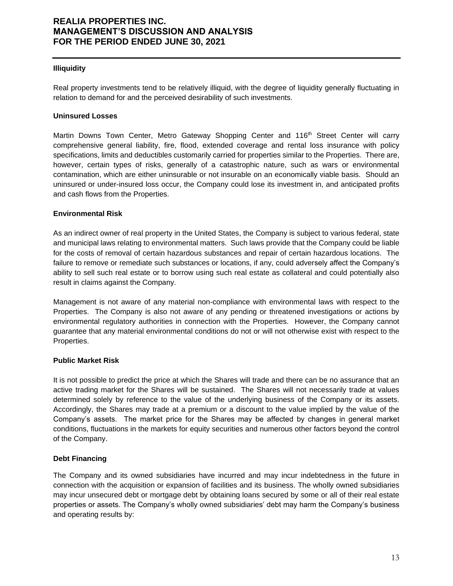#### **Illiquidity**

Real property investments tend to be relatively illiquid, with the degree of liquidity generally fluctuating in relation to demand for and the perceived desirability of such investments.

#### **Uninsured Losses**

Martin Downs Town Center, Metro Gateway Shopping Center and 116<sup>th</sup> Street Center will carry comprehensive general liability, fire, flood, extended coverage and rental loss insurance with policy specifications, limits and deductibles customarily carried for properties similar to the Properties. There are, however, certain types of risks, generally of a catastrophic nature, such as wars or environmental contamination, which are either uninsurable or not insurable on an economically viable basis. Should an uninsured or under-insured loss occur, the Company could lose its investment in, and anticipated profits and cash flows from the Properties.

#### **Environmental Risk**

As an indirect owner of real property in the United States, the Company is subject to various federal, state and municipal laws relating to environmental matters. Such laws provide that the Company could be liable for the costs of removal of certain hazardous substances and repair of certain hazardous locations. The failure to remove or remediate such substances or locations, if any, could adversely affect the Company's ability to sell such real estate or to borrow using such real estate as collateral and could potentially also result in claims against the Company.

Management is not aware of any material non-compliance with environmental laws with respect to the Properties. The Company is also not aware of any pending or threatened investigations or actions by environmental regulatory authorities in connection with the Properties. However, the Company cannot guarantee that any material environmental conditions do not or will not otherwise exist with respect to the Properties.

### **Public Market Risk**

It is not possible to predict the price at which the Shares will trade and there can be no assurance that an active trading market for the Shares will be sustained. The Shares will not necessarily trade at values determined solely by reference to the value of the underlying business of the Company or its assets. Accordingly, the Shares may trade at a premium or a discount to the value implied by the value of the Company's assets. The market price for the Shares may be affected by changes in general market conditions, fluctuations in the markets for equity securities and numerous other factors beyond the control of the Company.

#### **Debt Financing**

The Company and its owned subsidiaries have incurred and may incur indebtedness in the future in connection with the acquisition or expansion of facilities and its business. The wholly owned subsidiaries may incur unsecured debt or mortgage debt by obtaining loans secured by some or all of their real estate properties or assets. The Company's wholly owned subsidiaries' debt may harm the Company's business and operating results by: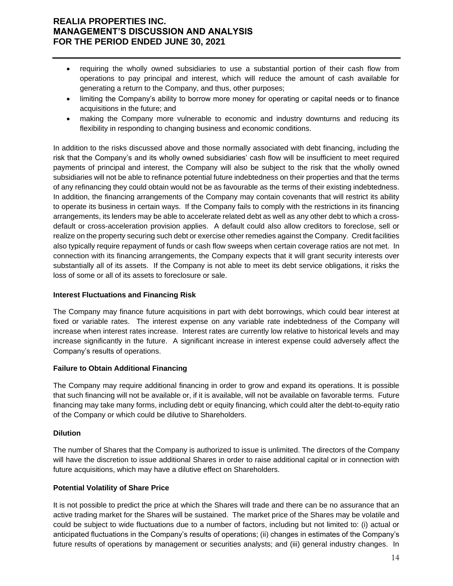- requiring the wholly owned subsidiaries to use a substantial portion of their cash flow from operations to pay principal and interest, which will reduce the amount of cash available for generating a return to the Company, and thus, other purposes;
- limiting the Company's ability to borrow more money for operating or capital needs or to finance acquisitions in the future; and
- making the Company more vulnerable to economic and industry downturns and reducing its flexibility in responding to changing business and economic conditions.

In addition to the risks discussed above and those normally associated with debt financing, including the risk that the Company's and its wholly owned subsidiaries' cash flow will be insufficient to meet required payments of principal and interest, the Company will also be subject to the risk that the wholly owned subsidiaries will not be able to refinance potential future indebtedness on their properties and that the terms of any refinancing they could obtain would not be as favourable as the terms of their existing indebtedness. In addition, the financing arrangements of the Company may contain covenants that will restrict its ability to operate its business in certain ways. If the Company fails to comply with the restrictions in its financing arrangements, its lenders may be able to accelerate related debt as well as any other debt to which a crossdefault or cross-acceleration provision applies. A default could also allow creditors to foreclose, sell or realize on the property securing such debt or exercise other remedies against the Company. Credit facilities also typically require repayment of funds or cash flow sweeps when certain coverage ratios are not met. In connection with its financing arrangements, the Company expects that it will grant security interests over substantially all of its assets. If the Company is not able to meet its debt service obligations, it risks the loss of some or all of its assets to foreclosure or sale.

### **Interest Fluctuations and Financing Risk**

The Company may finance future acquisitions in part with debt borrowings, which could bear interest at fixed or variable rates. The interest expense on any variable rate indebtedness of the Company will increase when interest rates increase. Interest rates are currently low relative to historical levels and may increase significantly in the future. A significant increase in interest expense could adversely affect the Company's results of operations.

### **Failure to Obtain Additional Financing**

The Company may require additional financing in order to grow and expand its operations. It is possible that such financing will not be available or, if it is available, will not be available on favorable terms. Future financing may take many forms, including debt or equity financing, which could alter the debt-to-equity ratio of the Company or which could be dilutive to Shareholders.

### **Dilution**

The number of Shares that the Company is authorized to issue is unlimited. The directors of the Company will have the discretion to issue additional Shares in order to raise additional capital or in connection with future acquisitions, which may have a dilutive effect on Shareholders.

### **Potential Volatility of Share Price**

It is not possible to predict the price at which the Shares will trade and there can be no assurance that an active trading market for the Shares will be sustained. The market price of the Shares may be volatile and could be subject to wide fluctuations due to a number of factors, including but not limited to: (i) actual or anticipated fluctuations in the Company's results of operations; (ii) changes in estimates of the Company's future results of operations by management or securities analysts; and (iii) general industry changes. In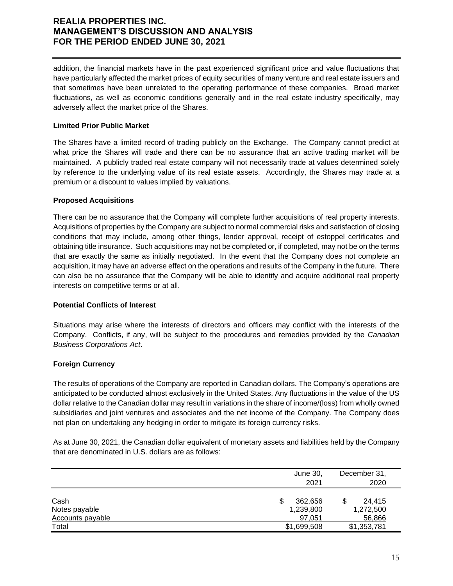addition, the financial markets have in the past experienced significant price and value fluctuations that have particularly affected the market prices of equity securities of many venture and real estate issuers and that sometimes have been unrelated to the operating performance of these companies. Broad market fluctuations, as well as economic conditions generally and in the real estate industry specifically, may adversely affect the market price of the Shares.

### **Limited Prior Public Market**

The Shares have a limited record of trading publicly on the Exchange. The Company cannot predict at what price the Shares will trade and there can be no assurance that an active trading market will be maintained. A publicly traded real estate company will not necessarily trade at values determined solely by reference to the underlying value of its real estate assets. Accordingly, the Shares may trade at a premium or a discount to values implied by valuations.

#### **Proposed Acquisitions**

There can be no assurance that the Company will complete further acquisitions of real property interests. Acquisitions of properties by the Company are subject to normal commercial risks and satisfaction of closing conditions that may include, among other things, lender approval, receipt of estoppel certificates and obtaining title insurance. Such acquisitions may not be completed or, if completed, may not be on the terms that are exactly the same as initially negotiated. In the event that the Company does not complete an acquisition, it may have an adverse effect on the operations and results of the Company in the future. There can also be no assurance that the Company will be able to identify and acquire additional real property interests on competitive terms or at all.

### **Potential Conflicts of Interest**

Situations may arise where the interests of directors and officers may conflict with the interests of the Company. Conflicts, if any, will be subject to the procedures and remedies provided by the *Canadian Business Corporations Act*.

### **Foreign Currency**

The results of operations of the Company are reported in Canadian dollars. The Company's operations are anticipated to be conducted almost exclusively in the United States. Any fluctuations in the value of the US dollar relative to the Canadian dollar may result in variations in the share of income/(loss) from wholly owned subsidiaries and joint ventures and associates and the net income of the Company. The Company does not plan on undertaking any hedging in order to mitigate its foreign currency risks.

As at June 30, 2021, the Canadian dollar equivalent of monetary assets and liabilities held by the Company that are denominated in U.S. dollars are as follows:

|                                                  | June 30,<br>2021               | December 31,<br>2020          |
|--------------------------------------------------|--------------------------------|-------------------------------|
| Cash<br>Notes payable<br><b>Accounts payable</b> | 362.656<br>1,239,800<br>97.051 | 24.415<br>1,272,500<br>56,866 |
| Total                                            | \$1,699,508                    | \$1,353,781                   |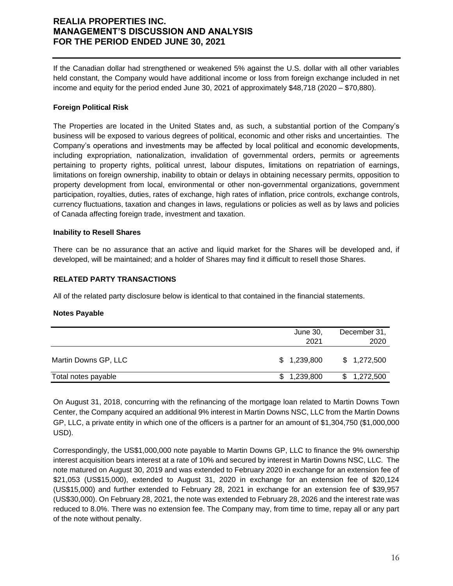If the Canadian dollar had strengthened or weakened 5% against the U.S. dollar with all other variables held constant, the Company would have additional income or loss from foreign exchange included in net income and equity for the period ended June 30, 2021 of approximately \$48,718 (2020 – \$70,880).

### **Foreign Political Risk**

The Properties are located in the United States and, as such, a substantial portion of the Company's business will be exposed to various degrees of political, economic and other risks and uncertainties. The Company's operations and investments may be affected by local political and economic developments, including expropriation, nationalization, invalidation of governmental orders, permits or agreements pertaining to property rights, political unrest, labour disputes, limitations on repatriation of earnings, limitations on foreign ownership, inability to obtain or delays in obtaining necessary permits, opposition to property development from local, environmental or other non-governmental organizations, government participation, royalties, duties, rates of exchange, high rates of inflation, price controls, exchange controls, currency fluctuations, taxation and changes in laws, regulations or policies as well as by laws and policies of Canada affecting foreign trade, investment and taxation.

#### **Inability to Resell Shares**

There can be no assurance that an active and liquid market for the Shares will be developed and, if developed, will be maintained; and a holder of Shares may find it difficult to resell those Shares.

#### **RELATED PARTY TRANSACTIONS**

All of the related party disclosure below is identical to that contained in the financial statements.

#### **Notes Payable**

|                      | June 30,<br>2021 | December 31,<br>2020 |
|----------------------|------------------|----------------------|
| Martin Downs GP, LLC | \$1,239,800      | \$1,272,500          |
| Total notes payable  | \$1,239,800      | 1,272,500            |

On August 31, 2018, concurring with the refinancing of the mortgage loan related to Martin Downs Town Center, the Company acquired an additional 9% interest in Martin Downs NSC, LLC from the Martin Downs GP, LLC, a private entity in which one of the officers is a partner for an amount of \$1,304,750 (\$1,000,000 USD).

Correspondingly, the US\$1,000,000 note payable to Martin Downs GP, LLC to finance the 9% ownership interest acquisition bears interest at a rate of 10% and secured by interest in Martin Downs NSC, LLC. The note matured on August 30, 2019 and was extended to February 2020 in exchange for an extension fee of \$21,053 (US\$15,000), extended to August 31, 2020 in exchange for an extension fee of \$20,124 (US\$15,000) and further extended to February 28, 2021 in exchange for an extension fee of \$39,957 (US\$30,000). On February 28, 2021, the note was extended to February 28, 2026 and the interest rate was reduced to 8.0%. There was no extension fee. The Company may, from time to time, repay all or any part of the note without penalty.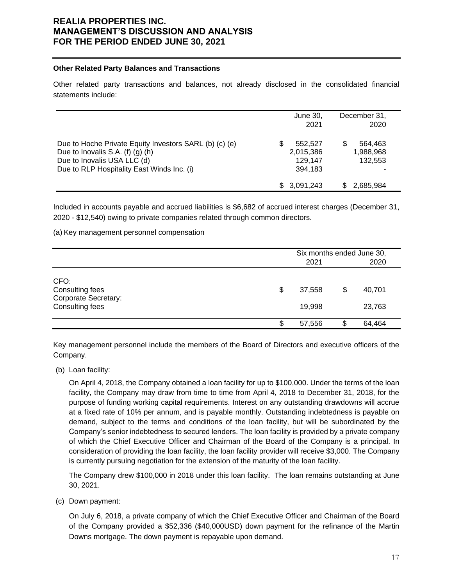#### **Other Related Party Balances and Transactions**

Other related party transactions and balances, not already disclosed in the consolidated financial statements include:

|                                                                                                                                                                               | June 30,<br>2021                           | December 31,<br>2020                 |
|-------------------------------------------------------------------------------------------------------------------------------------------------------------------------------|--------------------------------------------|--------------------------------------|
| Due to Hoche Private Equity Investors SARL (b) (c) (e)<br>Due to Inovalis S.A. $(f)$ $(g)$ $(h)$<br>Due to Inovalis USA LLC (d)<br>Due to RLP Hospitality East Winds Inc. (i) | 552.527<br>2,015,386<br>129,147<br>394.183 | 564.463<br>S<br>1,988,968<br>132.553 |
|                                                                                                                                                                               | \$ 3.091.243                               | 2,685,984<br>S                       |

Included in accounts payable and accrued liabilities is \$6,682 of accrued interest charges (December 31, 2020 - \$12,540) owing to private companies related through common directors.

(a) Key management personnel compensation

|                         |   | Six months ended June 30, |   |        |  |  |
|-------------------------|---|---------------------------|---|--------|--|--|
|                         |   | 2020<br>2021              |   |        |  |  |
|                         |   |                           |   |        |  |  |
| CFO:<br>Consulting fees | S | 37,558                    | S | 40,701 |  |  |
| Corporate Secretary:    |   |                           |   |        |  |  |
| Consulting fees         |   | 19,998                    |   | 23,763 |  |  |
|                         |   |                           |   |        |  |  |
|                         | œ | 57,556                    | S | 64,464 |  |  |

Key management personnel include the members of the Board of Directors and executive officers of the Company.

(b) Loan facility:

On April 4, 2018, the Company obtained a loan facility for up to \$100,000. Under the terms of the loan facility, the Company may draw from time to time from April 4, 2018 to December 31, 2018, for the purpose of funding working capital requirements. Interest on any outstanding drawdowns will accrue at a fixed rate of 10% per annum, and is payable monthly. Outstanding indebtedness is payable on demand, subject to the terms and conditions of the loan facility, but will be subordinated by the Company's senior indebtedness to secured lenders. The loan facility is provided by a private company of which the Chief Executive Officer and Chairman of the Board of the Company is a principal. In consideration of providing the loan facility, the loan facility provider will receive \$3,000. The Company is currently pursuing negotiation for the extension of the maturity of the loan facility.

The Company drew \$100,000 in 2018 under this loan facility. The loan remains outstanding at June 30, 2021.

(c) Down payment:

On July 6, 2018, a private company of which the Chief Executive Officer and Chairman of the Board of the Company provided a \$52,336 (\$40,000USD) down payment for the refinance of the Martin Downs mortgage. The down payment is repayable upon demand.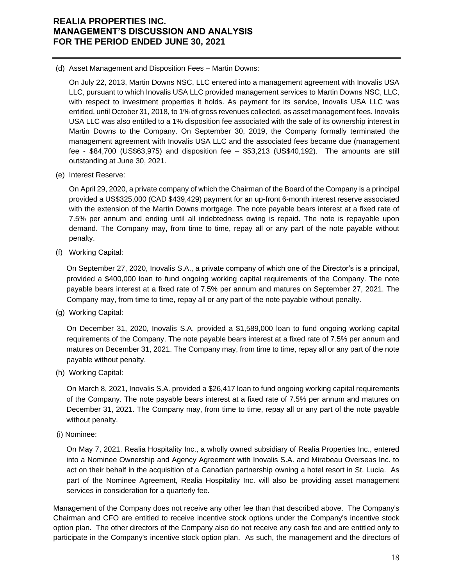(d) Asset Management and Disposition Fees – Martin Downs:

On July 22, 2013, Martin Downs NSC, LLC entered into a management agreement with Inovalis USA LLC, pursuant to which Inovalis USA LLC provided management services to Martin Downs NSC, LLC, with respect to investment properties it holds. As payment for its service, Inovalis USA LLC was entitled, until October 31, 2018, to 1% of gross revenues collected, as asset management fees. Inovalis USA LLC was also entitled to a 1% disposition fee associated with the sale of its ownership interest in Martin Downs to the Company. On September 30, 2019, the Company formally terminated the management agreement with Inovalis USA LLC and the associated fees became due (management fee - \$84,700 (US\$63,975) and disposition fee – \$53,213 (US\$40,192). The amounts are still outstanding at June 30, 2021.

(e) Interest Reserve:

On April 29, 2020, a private company of which the Chairman of the Board of the Company is a principal provided a US\$325,000 (CAD \$439,429) payment for an up-front 6-month interest reserve associated with the extension of the Martin Downs mortgage. The note payable bears interest at a fixed rate of 7.5% per annum and ending until all indebtedness owing is repaid. The note is repayable upon demand. The Company may, from time to time, repay all or any part of the note payable without penalty.

(f) Working Capital:

On September 27, 2020, Inovalis S.A., a private company of which one of the Director's is a principal, provided a \$400,000 loan to fund ongoing working capital requirements of the Company. The note payable bears interest at a fixed rate of 7.5% per annum and matures on September 27, 2021. The Company may, from time to time, repay all or any part of the note payable without penalty.

(g) Working Capital:

On December 31, 2020, Inovalis S.A. provided a \$1,589,000 loan to fund ongoing working capital requirements of the Company. The note payable bears interest at a fixed rate of 7.5% per annum and matures on December 31, 2021. The Company may, from time to time, repay all or any part of the note payable without penalty.

(h) Working Capital:

On March 8, 2021, Inovalis S.A. provided a \$26,417 loan to fund ongoing working capital requirements of the Company. The note payable bears interest at a fixed rate of 7.5% per annum and matures on December 31, 2021. The Company may, from time to time, repay all or any part of the note payable without penalty.

(i) Nominee:

On May 7, 2021. Realia Hospitality Inc., a wholly owned subsidiary of Realia Properties Inc., entered into a Nominee Ownership and Agency Agreement with Inovalis S.A. and Mirabeau Overseas Inc. to act on their behalf in the acquisition of a Canadian partnership owning a hotel resort in St. Lucia. As part of the Nominee Agreement, Realia Hospitality Inc. will also be providing asset management services in consideration for a quarterly fee.

Management of the Company does not receive any other fee than that described above. The Company's Chairman and CFO are entitled to receive incentive stock options under the Company's incentive stock option plan. The other directors of the Company also do not receive any cash fee and are entitled only to participate in the Company's incentive stock option plan. As such, the management and the directors of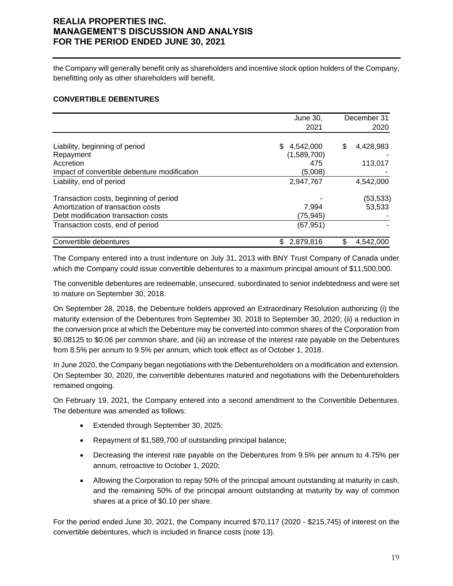the Company will generally benefit only as shareholders and incentive stock option holders of the Company, benefitting only as other shareholders will benefit.

#### **CONVERTIBLE DEBENTURES**

|                                              | June 30,         | December 31     |
|----------------------------------------------|------------------|-----------------|
|                                              | 2021             | 2020            |
|                                              |                  |                 |
| Liability, beginning of period               | 4,542,000<br>\$. | \$<br>4,428,983 |
| Repayment                                    | (1,589,700)      |                 |
| Accretion                                    | 475              | 113,017         |
| Impact of convertible debenture modification | (5,008)          |                 |
| Liability, end of period                     | 2,947,767        | 4,542,000       |
| Transaction costs, beginning of period       |                  | (53, 533)       |
| Amortization of transaction costs            | 7.994            | 53,533          |
| Debt modification transaction costs          | (75, 945)        |                 |
| Transaction costs, end of period             | (67, 951)        |                 |
| Convertible debentures                       | 2,879,816<br>S   | \$<br>4,542,000 |

The Company entered into a trust indenture on July 31, 2013 with BNY Trust Company of Canada under which the Company could issue convertible debentures to a maximum principal amount of \$11,500,000.

The convertible debentures are redeemable, unsecured, subordinated to senior indebtedness and were set to mature on September 30, 2018.

On September 28, 2018, the Debenture holders approved an Extraordinary Resolution authorizing (i) the maturity extension of the Debentures from September 30, 2018 to September 30, 2020; (ii) a reduction in the conversion price at which the Debenture may be converted into common shares of the Corporation from \$0.08125 to \$0.06 per common share; and (iii) an increase of the interest rate payable on the Debentures from 8.5% per annum to 9.5% per annum, which took effect as of October 1, 2018.

In June 2020, the Company began negotiations with the Debentureholders on a modification and extension. On September 30, 2020, the convertible debentures matured and negotiations with the Debentureholders remained ongoing.

On February 19, 2021, the Company entered into a second amendment to the Convertible Debentures. The debenture was amended as follows:

- Extended through September 30, 2025;
- Repayment of \$1,589,700 of outstanding principal balance;
- Decreasing the interest rate payable on the Debentures from 9.5% per annum to 4.75% per annum, retroactive to October 1, 2020;
- Allowing the Corporation to repay 50% of the principal amount outstanding at maturity in cash, and the remaining 50% of the principal amount outstanding at maturity by way of common shares at a price of \$0.10 per share.

For the period ended June 30, 2021, the Company incurred \$70,117 (2020 - \$215,745) of interest on the convertible debentures, which is included in finance costs (note 13).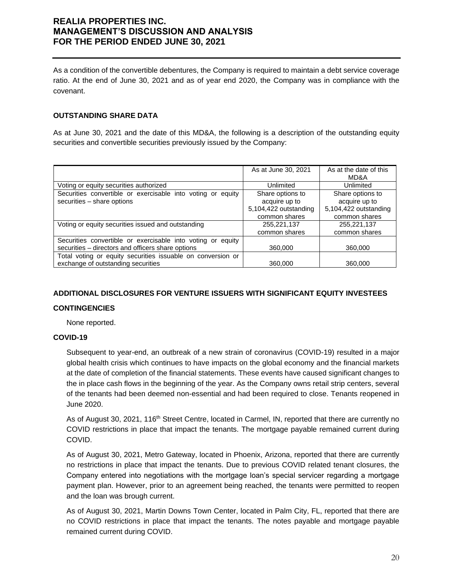As a condition of the convertible debentures, the Company is required to maintain a debt service coverage ratio. At the end of June 30, 2021 and as of year end 2020, the Company was in compliance with the covenant.

### **OUTSTANDING SHARE DATA**

As at June 30, 2021 and the date of this MD&A, the following is a description of the outstanding equity securities and convertible securities previously issued by the Company:

|                                                                | As at June 30, 2021   | As at the date of this<br>MD&A |
|----------------------------------------------------------------|-----------------------|--------------------------------|
| Voting or equity securities authorized                         | Unlimited             | Unlimited                      |
| Securities convertible or exercisable into voting or equity    | Share options to      | Share options to               |
| securities - share options                                     | acquire up to         | acquire up to                  |
|                                                                | 5,104,422 outstanding | 5,104,422 outstanding          |
|                                                                | common shares         | common shares                  |
| Voting or equity securities issued and outstanding             | 255,221,137           | 255,221,137                    |
|                                                                | common shares         | common shares                  |
| Securities convertible or exercisable into voting or<br>equity |                       |                                |
| securities – directors and officers share options              | 360,000               | 360,000                        |
| Total voting or equity securities issuable on conversion or    |                       |                                |
| exchange of outstanding securities                             | 360,000               | 360,000                        |

### **ADDITIONAL DISCLOSURES FOR VENTURE ISSUERS WITH SIGNIFICANT EQUITY INVESTEES**

#### **CONTINGENCIES**

None reported.

#### **COVID-19**

Subsequent to year-end, an outbreak of a new strain of coronavirus (COVID-19) resulted in a major global health crisis which continues to have impacts on the global economy and the financial markets at the date of completion of the financial statements. These events have caused significant changes to the in place cash flows in the beginning of the year. As the Company owns retail strip centers, several of the tenants had been deemed non-essential and had been required to close. Tenants reopened in June 2020.

As of August 30, 2021, 116<sup>th</sup> Street Centre, located in Carmel, IN, reported that there are currently no COVID restrictions in place that impact the tenants. The mortgage payable remained current during COVID.

As of August 30, 2021, Metro Gateway, located in Phoenix, Arizona, reported that there are currently no restrictions in place that impact the tenants. Due to previous COVID related tenant closures, the Company entered into negotiations with the mortgage loan's special servicer regarding a mortgage payment plan. However, prior to an agreement being reached, the tenants were permitted to reopen and the loan was brough current.

As of August 30, 2021, Martin Downs Town Center, located in Palm City, FL, reported that there are no COVID restrictions in place that impact the tenants. The notes payable and mortgage payable remained current during COVID.